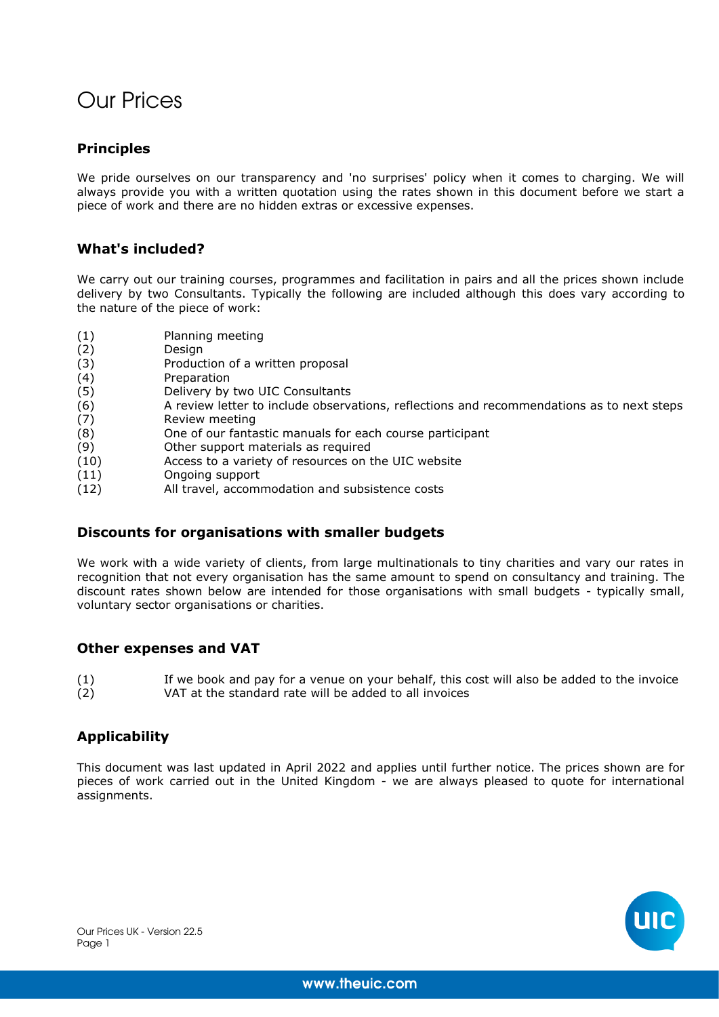# Our Prices

## **Principles**

We pride ourselves on our transparency and 'no surprises' policy when it comes to charging. We will always provide you with a written quotation using the rates shown in this document before we start a piece of work and there are no hidden extras or excessive expenses.

### **What's included?**

We carry out our training courses, programmes and facilitation in pairs and all the prices shown include delivery by two Consultants. Typically the following are included although this does vary according to the nature of the piece of work:

- (1) Planning meeting
- (2) Design<br>(3) Produci
- Production of a written proposal
- (4) Preparation
- (5) Delivery by two UIC Consultants
- (6) A review letter to include observations, reflections and recommendations as to next steps
- (7) Review meeting
- (8) One of our fantastic manuals for each course participant
- (9) Other support materials as required
- (10) Access to a variety of resources on the UIC website
- (11) Ongoing support
- (12) All travel, accommodation and subsistence costs

### **Discounts for organisations with smaller budgets**

We work with a wide variety of clients, from large multinationals to tiny charities and vary our rates in recognition that not every organisation has the same amount to spend on consultancy and training. The discount rates shown below are intended for those organisations with small budgets - typically small, voluntary sector organisations or charities.

### **Other expenses and VAT**

(1) If we book and pay for a venue on your behalf, this cost will also be added to the invoice (2) VAT at the standard rate will be added to all invoices

## **Applicability**

This document was last updated in April 2022 and applies until further notice. The prices shown are for pieces of work carried out in the United Kingdom - we are always pleased to quote for international assignments.

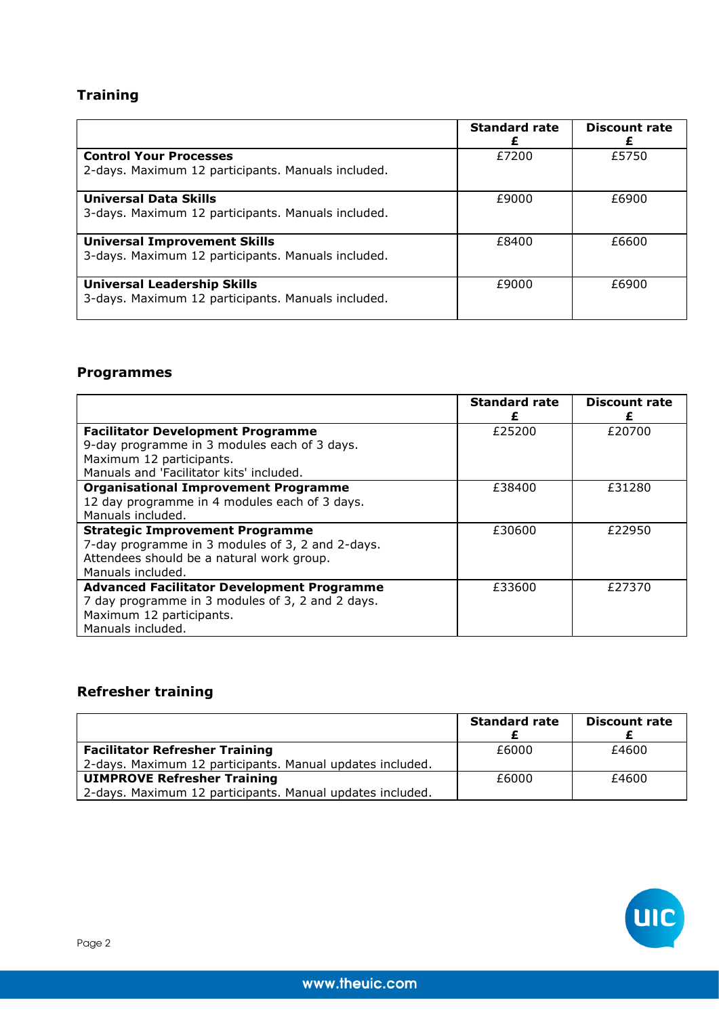# **Training**

|                                                                                           | <b>Standard rate</b> | <b>Discount rate</b> |
|-------------------------------------------------------------------------------------------|----------------------|----------------------|
| <b>Control Your Processes</b><br>2-days. Maximum 12 participants. Manuals included.       | £7200                | £5750                |
| <b>Universal Data Skills</b><br>3-days. Maximum 12 participants. Manuals included.        | £9000                | £6900                |
| <b>Universal Improvement Skills</b><br>3-days. Maximum 12 participants. Manuals included. | £8400                | £6600                |
| <b>Universal Leadership Skills</b><br>3-days. Maximum 12 participants. Manuals included.  | £9000                | £6900                |

# **Programmes**

|                                                                                                                                                              | <b>Standard rate</b> | <b>Discount rate</b> |
|--------------------------------------------------------------------------------------------------------------------------------------------------------------|----------------------|----------------------|
| <b>Facilitator Development Programme</b><br>9-day programme in 3 modules each of 3 days.                                                                     | £25200               | £20700               |
| Maximum 12 participants.<br>Manuals and 'Facilitator kits' included.                                                                                         |                      |                      |
| <b>Organisational Improvement Programme</b><br>12 day programme in 4 modules each of 3 days.<br>Manuals included.                                            | £38400               | £31280               |
| <b>Strategic Improvement Programme</b><br>7-day programme in 3 modules of 3, 2 and 2-days.<br>Attendees should be a natural work group.<br>Manuals included. | £30600               | £22950               |
| <b>Advanced Facilitator Development Programme</b><br>7 day programme in 3 modules of 3, 2 and 2 days.<br>Maximum 12 participants.<br>Manuals included.       | £33600               | £27370               |

# **Refresher training**

|                                                           | <b>Standard rate</b> | <b>Discount rate</b> |
|-----------------------------------------------------------|----------------------|----------------------|
| <b>Facilitator Refresher Training</b>                     | £6000                | £4600                |
| 2-days. Maximum 12 participants. Manual updates included. |                      |                      |
| <b>UIMPROVE Refresher Training</b>                        | £6000                | £4600                |
| 2-days. Maximum 12 participants. Manual updates included. |                      |                      |

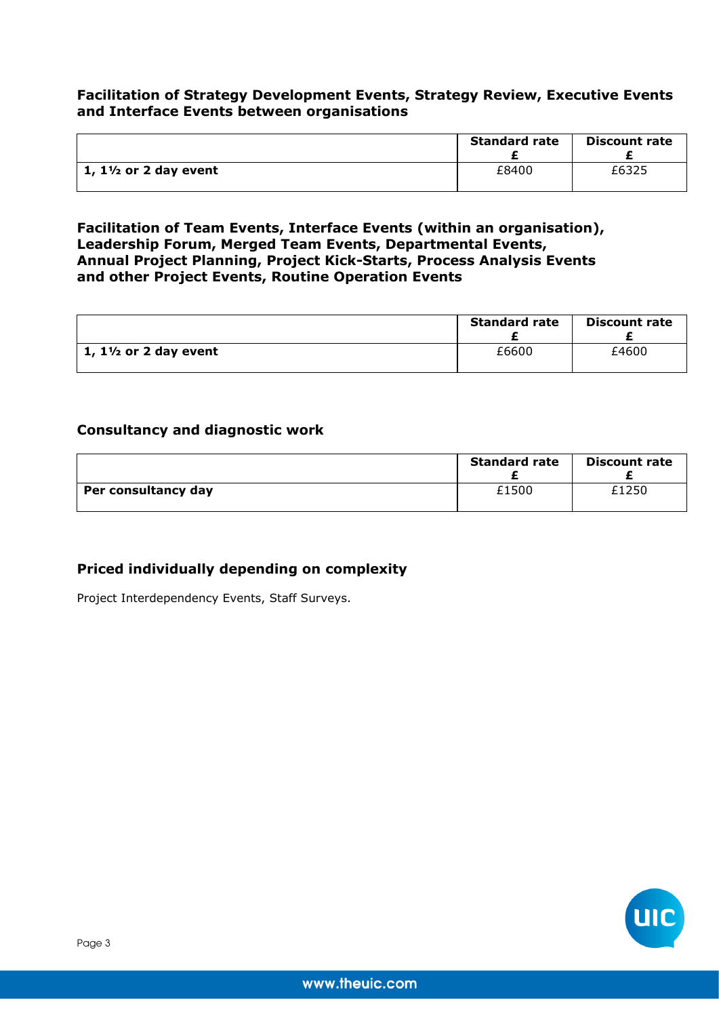### **Facilitation of Strategy Development Events, Strategy Review, Executive Events and Interface Events between organisations**

|                                  | <b>Standard rate</b> | <b>Discount rate</b> |
|----------------------------------|----------------------|----------------------|
| 1, $1\frac{1}{2}$ or 2 day event | £8400                | £6325                |

**Facilitation of Team Events, Interface Events (within an organisation), Leadership Forum, Merged Team Events, Departmental Events, Annual Project Planning, Project Kick-Starts, Process Analysis Events and other Project Events, Routine Operation Events**

|                                  | <b>Standard rate</b> | <b>Discount rate</b> |
|----------------------------------|----------------------|----------------------|
| 1, $1\frac{1}{2}$ or 2 day event | £6600                | £4600                |

### **Consultancy and diagnostic work**

|                     | <b>Standard rate</b> | <b>Discount rate</b> |
|---------------------|----------------------|----------------------|
| Per consultancy day | £1500                | £1250                |

## **Priced individually depending on complexity**

Project Interdependency Events, Staff Surveys.